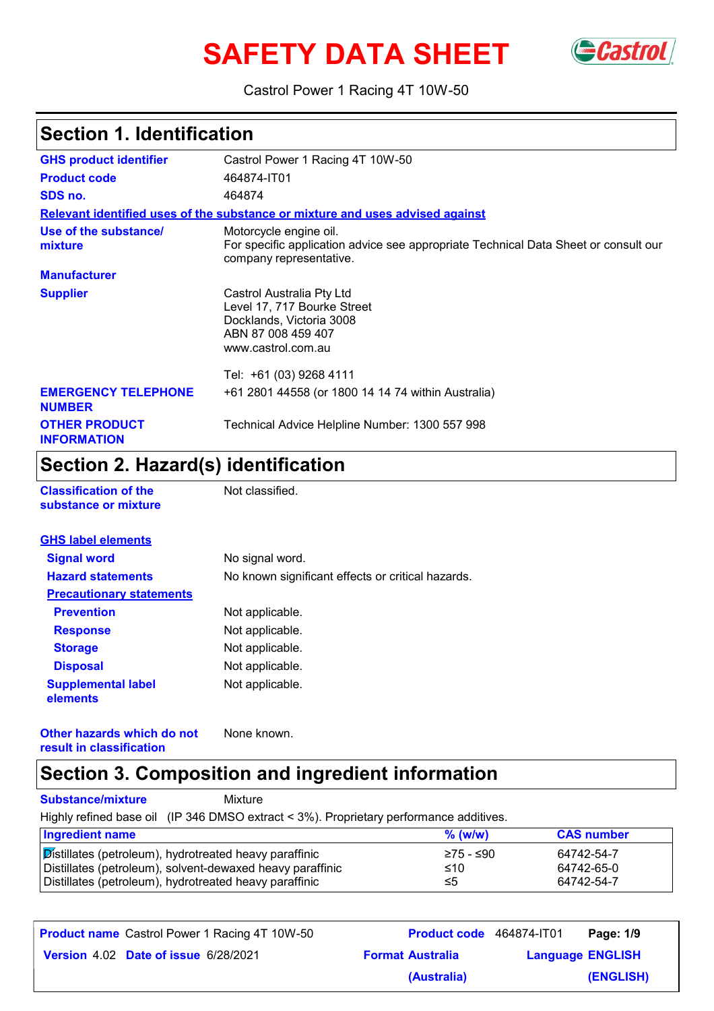# SAFETY DATA SHEET GCastrol



Castrol Power 1 Racing 4T 10W-50

## **Section 1. Identification**

| <b>GHS product identifier</b>               | Castrol Power 1 Racing 4T 10W-50                                                                                                         |
|---------------------------------------------|------------------------------------------------------------------------------------------------------------------------------------------|
| <b>Product code</b>                         | 464874-IT01                                                                                                                              |
| SDS no.                                     | 464874                                                                                                                                   |
|                                             | Relevant identified uses of the substance or mixture and uses advised against                                                            |
| Use of the substance/<br>mixture            | Motorcycle engine oil.<br>For specific application advice see appropriate Technical Data Sheet or consult our<br>company representative. |
| <b>Manufacturer</b>                         |                                                                                                                                          |
| <b>Supplier</b>                             | Castrol Australia Pty Ltd<br>Level 17, 717 Bourke Street<br>Docklands, Victoria 3008<br>ABN 87 008 459 407<br>www.castrol.com.au         |
|                                             | Tel: +61 (03) 9268 4111                                                                                                                  |
| <b>EMERGENCY TELEPHONE</b><br><b>NUMBER</b> | +61 2801 44558 (or 1800 14 14 74 within Australia)                                                                                       |
| <b>OTHER PRODUCT</b><br><b>INFORMATION</b>  | Technical Advice Helpline Number: 1300 557 998                                                                                           |

### **Section 2. Hazard(s) identification**

|  | Classification of the |  |  |
|--|-----------------------|--|--|
|  | substance or mixture  |  |  |

**Collection of the Set Classified.** 

| <b>GHS label elements</b>             |                                                   |
|---------------------------------------|---------------------------------------------------|
| <b>Signal word</b>                    | No signal word.                                   |
| <b>Hazard statements</b>              | No known significant effects or critical hazards. |
| <b>Precautionary statements</b>       |                                                   |
| <b>Prevention</b>                     | Not applicable.                                   |
| <b>Response</b>                       | Not applicable.                                   |
| <b>Storage</b>                        | Not applicable.                                   |
| <b>Disposal</b>                       | Not applicable.                                   |
| <b>Supplemental label</b><br>elements | Not applicable.                                   |

**Other hazards which do not result in classification** None known.

#### **Section 3. Composition and ingredient information**

**Substance/mixture** Mixture

Highly refined base oil (IP 346 DMSO extract < 3%). Proprietary performance additives.

| <b>Ingredient name</b>                                    | $%$ (w/w) | <b>CAS number</b> |
|-----------------------------------------------------------|-----------|-------------------|
| Distillates (petroleum), hydrotreated heavy paraffinic    | 275 - ≤90 | 64742-54-7        |
| Distillates (petroleum), solvent-dewaxed heavy paraffinic | ≤10       | 64742-65-0        |
| Distillates (petroleum), hydrotreated heavy paraffinic    | ≤5        | 64742-54-7        |

| <b>Product name</b> Castrol Power 1 Racing 4T 10W-50 | <b>Product code</b> 464874-IT01 |                         | Page: 1/9 |
|------------------------------------------------------|---------------------------------|-------------------------|-----------|
| Version 4.02 Date of issue 6/28/2021                 | <b>Format Australia</b>         | <b>Language ENGLISH</b> |           |
|                                                      | (Australia)                     |                         | (ENGLISH) |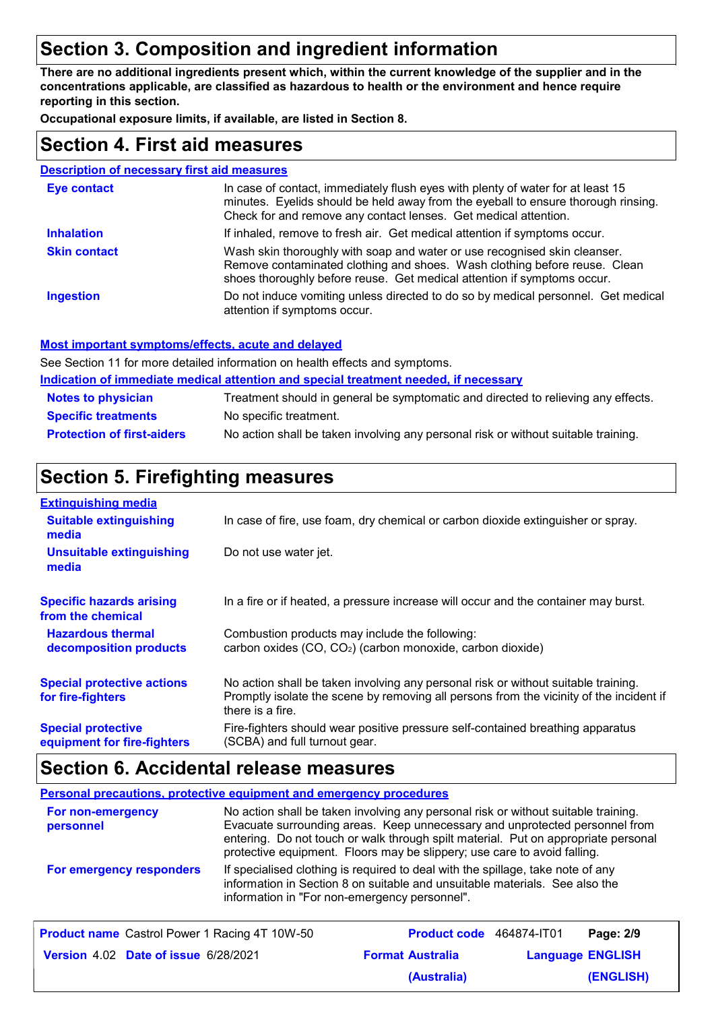## **Section 3. Composition and ingredient information**

**There are no additional ingredients present which, within the current knowledge of the supplier and in the concentrations applicable, are classified as hazardous to health or the environment and hence require reporting in this section.**

**Occupational exposure limits, if available, are listed in Section 8.**

#### **Section 4. First aid measures**

#### **Description of necessary first aid measures**

| <b>Eye contact</b>  | In case of contact, immediately flush eyes with plenty of water for at least 15<br>minutes. Eyelids should be held away from the eyeball to ensure thorough rinsing.<br>Check for and remove any contact lenses. Get medical attention. |
|---------------------|-----------------------------------------------------------------------------------------------------------------------------------------------------------------------------------------------------------------------------------------|
| <b>Inhalation</b>   | If inhaled, remove to fresh air. Get medical attention if symptoms occur.                                                                                                                                                               |
| <b>Skin contact</b> | Wash skin thoroughly with soap and water or use recognised skin cleanser.<br>Remove contaminated clothing and shoes. Wash clothing before reuse. Clean<br>shoes thoroughly before reuse. Get medical attention if symptoms occur.       |
| <b>Ingestion</b>    | Do not induce vomiting unless directed to do so by medical personnel. Get medical<br>attention if symptoms occur.                                                                                                                       |

#### **Most important symptoms/effects, acute and delayed**

See Section 11 for more detailed information on health effects and symptoms.

**Indication of immediate medical attention and special treatment needed, if necessary**

| <b>Notes to physician</b>         | Treatment should in general be symptomatic and directed to relieving any effects.  |
|-----------------------------------|------------------------------------------------------------------------------------|
| <b>Specific treatments</b>        | No specific treatment.                                                             |
| <b>Protection of first-aiders</b> | No action shall be taken involving any personal risk or without suitable training. |

#### **Section 5. Firefighting measures**

| <b>Extinguishing media</b>                               |                                                                                                                                                                                                   |
|----------------------------------------------------------|---------------------------------------------------------------------------------------------------------------------------------------------------------------------------------------------------|
| <b>Suitable extinguishing</b><br>media                   | In case of fire, use foam, dry chemical or carbon dioxide extinguisher or spray.                                                                                                                  |
| <b>Unsuitable extinguishing</b><br>media                 | Do not use water jet.                                                                                                                                                                             |
| <b>Specific hazards arising</b><br>from the chemical     | In a fire or if heated, a pressure increase will occur and the container may burst.                                                                                                               |
| <b>Hazardous thermal</b><br>decomposition products       | Combustion products may include the following:<br>carbon oxides (CO, CO <sub>2</sub> ) (carbon monoxide, carbon dioxide)                                                                          |
| <b>Special protective actions</b><br>for fire-fighters   | No action shall be taken involving any personal risk or without suitable training.<br>Promptly isolate the scene by removing all persons from the vicinity of the incident if<br>there is a fire. |
| <b>Special protective</b><br>equipment for fire-fighters | Fire-fighters should wear positive pressure self-contained breathing apparatus<br>(SCBA) and full turnout gear.                                                                                   |

#### **Section 6. Accidental release measures**

#### **Personal precautions, protective equipment and emergency procedures** No action shall be taken involving any personal risk or without suitable training. Evacuate surrounding areas. Keep unnecessary and unprotected personnel from entering. Do not touch or walk through spilt material. Put on appropriate personal protective equipment. Floors may be slippery; use care to avoid falling. **For non-emergency personnel For emergency responders** If specialised clothing is required to deal with the spillage, take note of any information in Section 8 on suitable and unsuitable materials. See also the information in "For non-emergency personnel".

| <b>Product name</b> Castrol Power 1 Racing 4T 10W-50 | <b>Product code</b> 464874-IT01 |                         | Page: 2/9 |
|------------------------------------------------------|---------------------------------|-------------------------|-----------|
| <b>Version 4.02 Date of issue 6/28/2021</b>          | <b>Format Australia</b>         | <b>Language ENGLISH</b> |           |
|                                                      | (Australia)                     |                         | (ENGLISH) |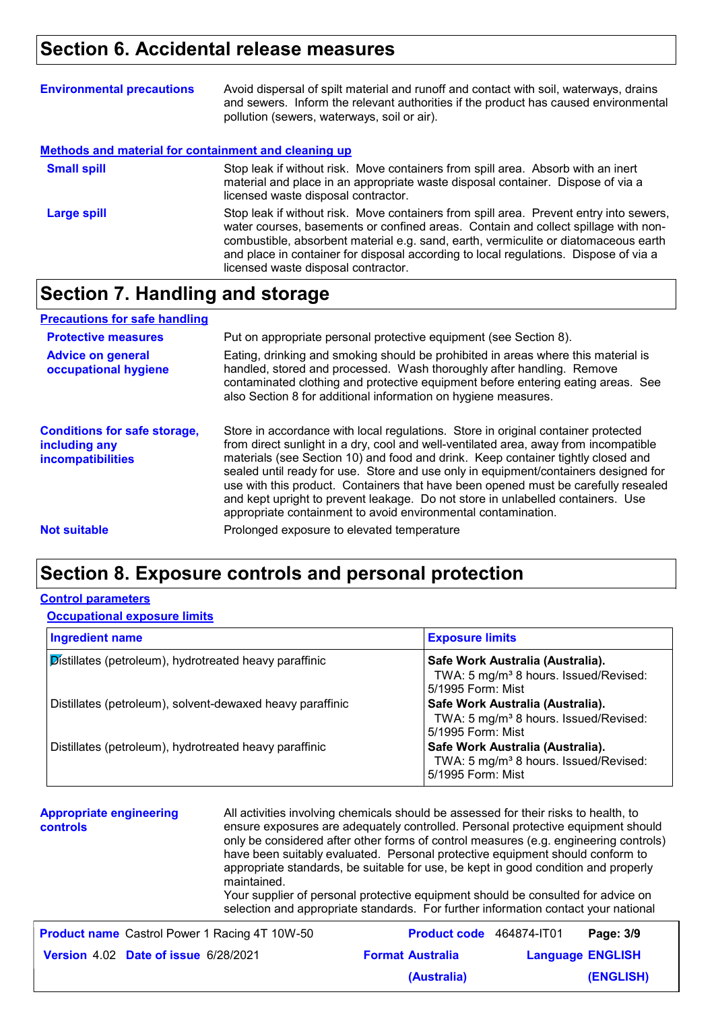## **Section 6. Accidental release measures**

| <b>Environmental precautions</b>                            | Avoid dispersal of spilt material and runoff and contact with soil, waterways, drains<br>and sewers. Inform the relevant authorities if the product has caused environmental<br>pollution (sewers, waterways, soil or air).                                                                                                                                                                        |
|-------------------------------------------------------------|----------------------------------------------------------------------------------------------------------------------------------------------------------------------------------------------------------------------------------------------------------------------------------------------------------------------------------------------------------------------------------------------------|
| <b>Methods and material for containment and cleaning up</b> |                                                                                                                                                                                                                                                                                                                                                                                                    |
| <b>Small spill</b>                                          | Stop leak if without risk. Move containers from spill area. Absorb with an inert<br>material and place in an appropriate waste disposal container. Dispose of via a<br>licensed waste disposal contractor.                                                                                                                                                                                         |
| <b>Large spill</b>                                          | Stop leak if without risk. Move containers from spill area. Prevent entry into sewers,<br>water courses, basements or confined areas. Contain and collect spillage with non-<br>combustible, absorbent material e.g. sand, earth, vermiculite or diatomaceous earth<br>and place in container for disposal according to local regulations. Dispose of via a<br>licensed waste disposal contractor. |

#### **Section 7. Handling and storage**

| <b>Precautions for safe handling</b>                                             |                                                                                                                                                                                                                                                                                                                                                                                                                                                                                                                                                                                                |
|----------------------------------------------------------------------------------|------------------------------------------------------------------------------------------------------------------------------------------------------------------------------------------------------------------------------------------------------------------------------------------------------------------------------------------------------------------------------------------------------------------------------------------------------------------------------------------------------------------------------------------------------------------------------------------------|
| <b>Protective measures</b>                                                       | Put on appropriate personal protective equipment (see Section 8).                                                                                                                                                                                                                                                                                                                                                                                                                                                                                                                              |
| <b>Advice on general</b><br>occupational hygiene                                 | Eating, drinking and smoking should be prohibited in areas where this material is<br>handled, stored and processed. Wash thoroughly after handling. Remove<br>contaminated clothing and protective equipment before entering eating areas. See<br>also Section 8 for additional information on hygiene measures.                                                                                                                                                                                                                                                                               |
| <b>Conditions for safe storage,</b><br>including any<br><b>incompatibilities</b> | Store in accordance with local regulations. Store in original container protected<br>from direct sunlight in a dry, cool and well-ventilated area, away from incompatible<br>materials (see Section 10) and food and drink. Keep container tightly closed and<br>sealed until ready for use. Store and use only in equipment/containers designed for<br>use with this product. Containers that have been opened must be carefully resealed<br>and kept upright to prevent leakage. Do not store in unlabelled containers. Use<br>appropriate containment to avoid environmental contamination. |
| <b>Not suitable</b>                                                              | Prolonged exposure to elevated temperature                                                                                                                                                                                                                                                                                                                                                                                                                                                                                                                                                     |

### **Section 8. Exposure controls and personal protection**

#### **Control parameters**

#### **Occupational exposure limits**

| <b>Ingredient name</b>                                    | <b>Exposure limits</b>                                                                                     |
|-----------------------------------------------------------|------------------------------------------------------------------------------------------------------------|
| Distillates (petroleum), hydrotreated heavy paraffinic    | Safe Work Australia (Australia).<br>TWA: 5 mg/m <sup>3</sup> 8 hours. Issued/Revised:<br>5/1995 Form: Mist |
| Distillates (petroleum), solvent-dewaxed heavy paraffinic | Safe Work Australia (Australia).<br>TWA: 5 mg/m <sup>3</sup> 8 hours. Issued/Revised:<br>5/1995 Form: Mist |
| Distillates (petroleum), hydrotreated heavy paraffinic    | Safe Work Australia (Australia).<br>TWA: 5 mg/m <sup>3</sup> 8 hours. Issued/Revised:<br>5/1995 Form: Mist |

**Appropriate engineering controls** All activities involving chemicals should be assessed for their risks to health, to ensure exposures are adequately controlled. Personal protective equipment should only be considered after other forms of control measures (e.g. engineering controls) have been suitably evaluated. Personal protective equipment should conform to appropriate standards, be suitable for use, be kept in good condition and properly maintained. Your supplier of personal protective equipment should be consulted for advice on selection and appropriate standards. For further information contact your national **Product name** Castrol Power 1 Racing 4T 10W-50 **Product code** 464874-IT01 **Page: 3/9** | **Product code** 464874-IT01 **Pag** 

|                         | Page: 3/9                       |
|-------------------------|---------------------------------|
| <b>Format Australia</b> | <b>Language ENGLISH</b>         |
| (Australia)             | (ENGLISH)                       |
|                         | <b>Product code</b> 464874-IT01 |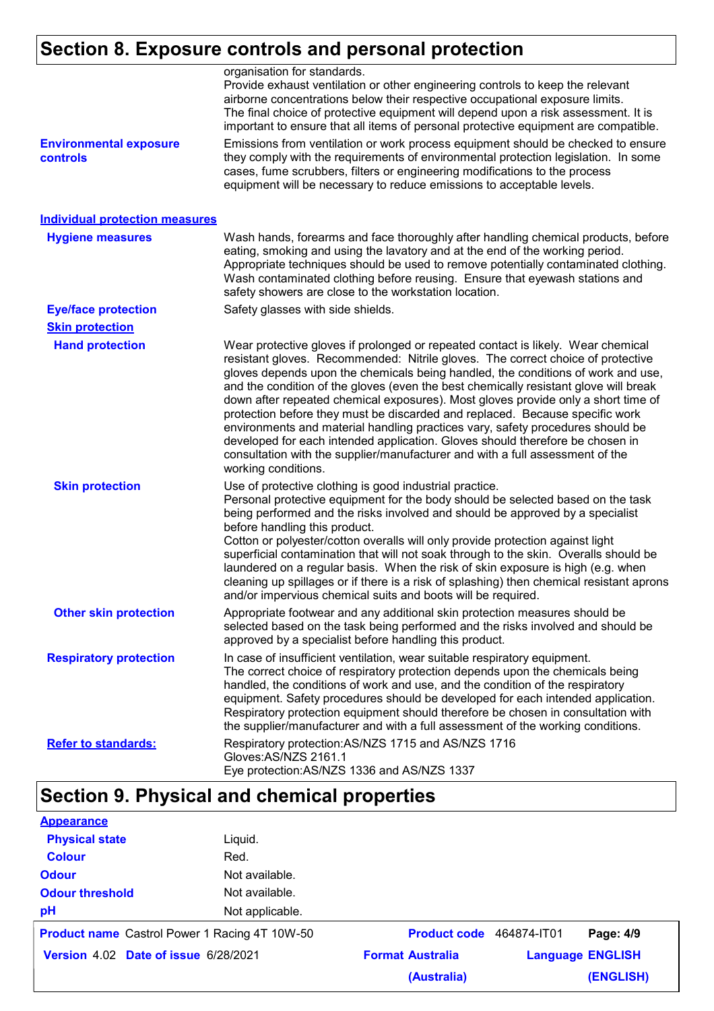## **Section 8. Exposure controls and personal protection**

|                                           | organisation for standards.<br>Provide exhaust ventilation or other engineering controls to keep the relevant<br>airborne concentrations below their respective occupational exposure limits.<br>The final choice of protective equipment will depend upon a risk assessment. It is<br>important to ensure that all items of personal protective equipment are compatible.                                                                                                                                                                                                                                                                                                                                                                                                                      |
|-------------------------------------------|-------------------------------------------------------------------------------------------------------------------------------------------------------------------------------------------------------------------------------------------------------------------------------------------------------------------------------------------------------------------------------------------------------------------------------------------------------------------------------------------------------------------------------------------------------------------------------------------------------------------------------------------------------------------------------------------------------------------------------------------------------------------------------------------------|
| <b>Environmental exposure</b><br>controls | Emissions from ventilation or work process equipment should be checked to ensure<br>they comply with the requirements of environmental protection legislation. In some<br>cases, fume scrubbers, filters or engineering modifications to the process<br>equipment will be necessary to reduce emissions to acceptable levels.                                                                                                                                                                                                                                                                                                                                                                                                                                                                   |
| <b>Individual protection measures</b>     |                                                                                                                                                                                                                                                                                                                                                                                                                                                                                                                                                                                                                                                                                                                                                                                                 |
| <b>Hygiene measures</b>                   | Wash hands, forearms and face thoroughly after handling chemical products, before<br>eating, smoking and using the lavatory and at the end of the working period.<br>Appropriate techniques should be used to remove potentially contaminated clothing.<br>Wash contaminated clothing before reusing. Ensure that eyewash stations and<br>safety showers are close to the workstation location.                                                                                                                                                                                                                                                                                                                                                                                                 |
| <b>Eye/face protection</b>                | Safety glasses with side shields.                                                                                                                                                                                                                                                                                                                                                                                                                                                                                                                                                                                                                                                                                                                                                               |
| <b>Skin protection</b>                    |                                                                                                                                                                                                                                                                                                                                                                                                                                                                                                                                                                                                                                                                                                                                                                                                 |
| <b>Hand protection</b>                    | Wear protective gloves if prolonged or repeated contact is likely. Wear chemical<br>resistant gloves. Recommended: Nitrile gloves. The correct choice of protective<br>gloves depends upon the chemicals being handled, the conditions of work and use,<br>and the condition of the gloves (even the best chemically resistant glove will break<br>down after repeated chemical exposures). Most gloves provide only a short time of<br>protection before they must be discarded and replaced. Because specific work<br>environments and material handling practices vary, safety procedures should be<br>developed for each intended application. Gloves should therefore be chosen in<br>consultation with the supplier/manufacturer and with a full assessment of the<br>working conditions. |
| <b>Skin protection</b>                    | Use of protective clothing is good industrial practice.<br>Personal protective equipment for the body should be selected based on the task<br>being performed and the risks involved and should be approved by a specialist<br>before handling this product.<br>Cotton or polyester/cotton overalls will only provide protection against light<br>superficial contamination that will not soak through to the skin. Overalls should be<br>laundered on a regular basis. When the risk of skin exposure is high (e.g. when<br>cleaning up spillages or if there is a risk of splashing) then chemical resistant aprons<br>and/or impervious chemical suits and boots will be required.                                                                                                           |
| <b>Other skin protection</b>              | Appropriate footwear and any additional skin protection measures should be<br>selected based on the task being performed and the risks involved and should be<br>approved by a specialist before handling this product.                                                                                                                                                                                                                                                                                                                                                                                                                                                                                                                                                                         |
| <b>Respiratory protection</b>             | In case of insufficient ventilation, wear suitable respiratory equipment.<br>The correct choice of respiratory protection depends upon the chemicals being<br>handled, the conditions of work and use, and the condition of the respiratory<br>equipment. Safety procedures should be developed for each intended application.<br>Respiratory protection equipment should therefore be chosen in consultation with<br>the supplier/manufacturer and with a full assessment of the working conditions.                                                                                                                                                                                                                                                                                           |
| <b>Refer to standards:</b>                | Respiratory protection: AS/NZS 1715 and AS/NZS 1716<br>Gloves: AS/NZS 2161.1<br>Eye protection:AS/NZS 1336 and AS/NZS 1337                                                                                                                                                                                                                                                                                                                                                                                                                                                                                                                                                                                                                                                                      |

## **Section 9. Physical and chemical properties**

| <b>Appearance</b>      |                                                      |                          |                         |           |
|------------------------|------------------------------------------------------|--------------------------|-------------------------|-----------|
| <b>Physical state</b>  | Liquid.                                              |                          |                         |           |
| <b>Colour</b>          | Red.                                                 |                          |                         |           |
| <b>Odour</b>           | Not available.                                       |                          |                         |           |
| <b>Odour threshold</b> | Not available.                                       |                          |                         |           |
| pH                     | Not applicable.                                      |                          |                         |           |
|                        | <b>Product name</b> Castrol Power 1 Racing 4T 10W-50 | Product code 464874-IT01 |                         | Page: 4/9 |
|                        | Version 4.02 Date of issue 6/28/2021                 | <b>Format Australia</b>  | <b>Language ENGLISH</b> |           |
|                        |                                                      | (Australia)              |                         | (ENGLISH) |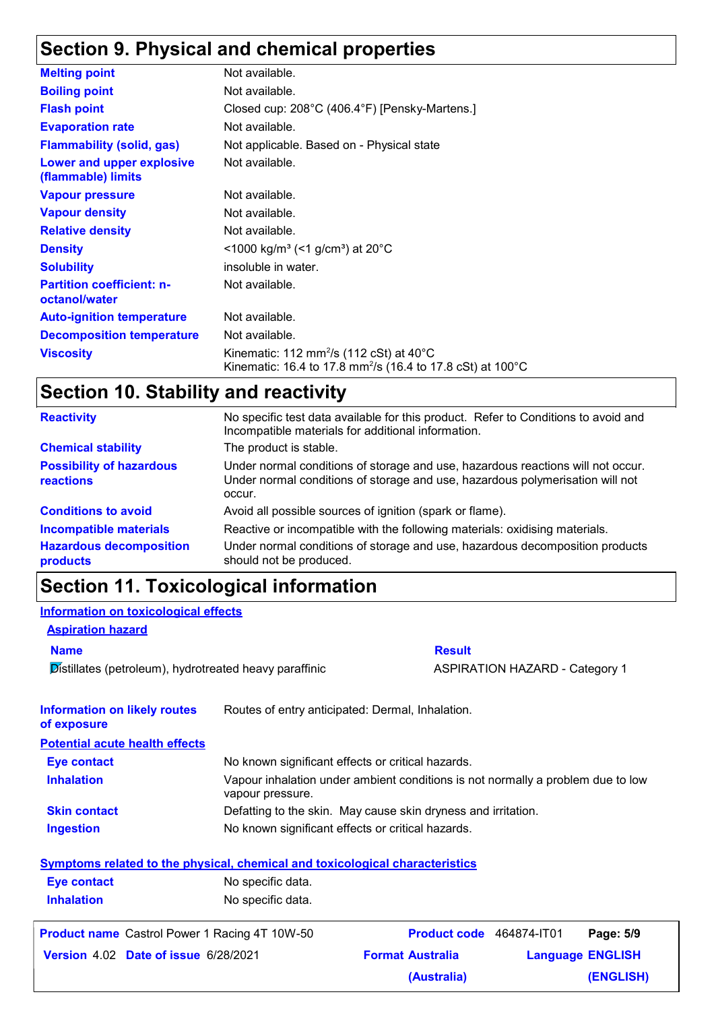## **Section 9. Physical and chemical properties**

| <b>Melting point</b>                              | Not available.                                                                                                                          |
|---------------------------------------------------|-----------------------------------------------------------------------------------------------------------------------------------------|
| <b>Boiling point</b>                              | Not available.                                                                                                                          |
| <b>Flash point</b>                                | Closed cup: 208°C (406.4°F) [Pensky-Martens.]                                                                                           |
| <b>Evaporation rate</b>                           | Not available.                                                                                                                          |
| <b>Flammability (solid, gas)</b>                  | Not applicable. Based on - Physical state                                                                                               |
| Lower and upper explosive<br>(flammable) limits   | Not available.                                                                                                                          |
| <b>Vapour pressure</b>                            | Not available.                                                                                                                          |
| <b>Vapour density</b>                             | Not available.                                                                                                                          |
| <b>Relative density</b>                           | Not available.                                                                                                                          |
| <b>Density</b>                                    | $<$ 1000 kg/m <sup>3</sup> (<1 g/cm <sup>3</sup> ) at 20 <sup>°</sup> C                                                                 |
| <b>Solubility</b>                                 | insoluble in water.                                                                                                                     |
| <b>Partition coefficient: n-</b><br>octanol/water | Not available.                                                                                                                          |
| <b>Auto-ignition temperature</b>                  | Not available.                                                                                                                          |
| <b>Decomposition temperature</b>                  | Not available.                                                                                                                          |
| <b>Viscosity</b>                                  | Kinematic: 112 mm <sup>2</sup> /s (112 cSt) at $40^{\circ}$ C<br>Kinematic: 16.4 to 17.8 mm <sup>2</sup> /s (16.4 to 17.8 cSt) at 100°C |

## **Section 10. Stability and reactivity**

| <b>Reactivity</b>                            | No specific test data available for this product. Refer to Conditions to avoid and<br>Incompatible materials for additional information.                                   |
|----------------------------------------------|----------------------------------------------------------------------------------------------------------------------------------------------------------------------------|
| <b>Chemical stability</b>                    | The product is stable.                                                                                                                                                     |
| <b>Possibility of hazardous</b><br>reactions | Under normal conditions of storage and use, hazardous reactions will not occur.<br>Under normal conditions of storage and use, hazardous polymerisation will not<br>occur. |
| <b>Conditions to avoid</b>                   | Avoid all possible sources of ignition (spark or flame).                                                                                                                   |
| <b>Incompatible materials</b>                | Reactive or incompatible with the following materials: oxidising materials.                                                                                                |
| <b>Hazardous decomposition</b><br>products   | Under normal conditions of storage and use, hazardous decomposition products<br>should not be produced.                                                                    |

## **Section 11. Toxicological information**

#### **Information on toxicological effects**

**Aspiration hazard**

Distillates (petroleum), hydrotreated heavy paraffinic **ASPIRATION HAZARD** - Category 1

**Name Result** 

| <b>Information on likely routes</b><br>of exposure                           | Routes of entry anticipated: Dermal, Inhalation.  |                                                                                 |  |                         |  |
|------------------------------------------------------------------------------|---------------------------------------------------|---------------------------------------------------------------------------------|--|-------------------------|--|
| <b>Potential acute health effects</b>                                        |                                                   |                                                                                 |  |                         |  |
| Eye contact                                                                  |                                                   | No known significant effects or critical hazards.                               |  |                         |  |
| <b>Inhalation</b>                                                            | vapour pressure.                                  | Vapour inhalation under ambient conditions is not normally a problem due to low |  |                         |  |
| <b>Skin contact</b>                                                          |                                                   | Defatting to the skin. May cause skin dryness and irritation.                   |  |                         |  |
| <b>Ingestion</b>                                                             | No known significant effects or critical hazards. |                                                                                 |  |                         |  |
| Symptoms related to the physical, chemical and toxicological characteristics |                                                   |                                                                                 |  |                         |  |
| <b>Eye contact</b>                                                           | No specific data.                                 |                                                                                 |  |                         |  |
| <b>Inhalation</b>                                                            | No specific data.                                 |                                                                                 |  |                         |  |
| <b>Product name</b> Castrol Power 1 Racing 4T 10W-50                         |                                                   | <b>Product code</b> 464874-IT01                                                 |  | Page: 5/9               |  |
| <b>Version 4.02 Date of issue 6/28/2021</b>                                  |                                                   | <b>Format Australia</b>                                                         |  | <b>Language ENGLISH</b> |  |
|                                                                              |                                                   | (Australia)                                                                     |  | (ENGLISH)               |  |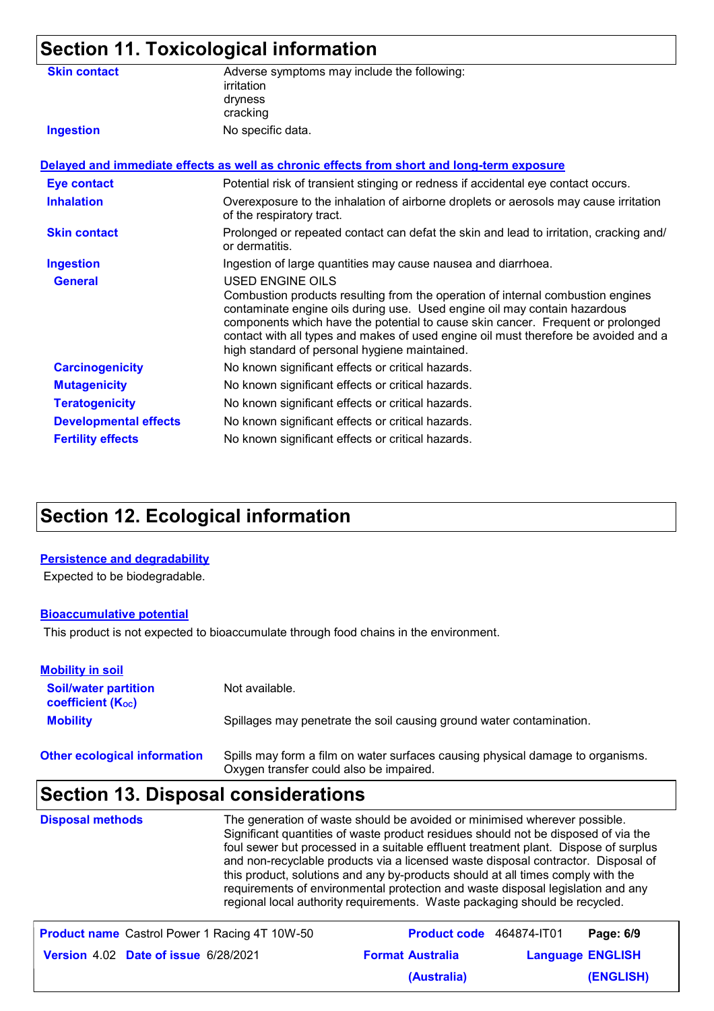|                              | <b>Section 11. Toxicological information</b>                                                                                                                                                                                                                                                                                                                                                                |
|------------------------------|-------------------------------------------------------------------------------------------------------------------------------------------------------------------------------------------------------------------------------------------------------------------------------------------------------------------------------------------------------------------------------------------------------------|
| <b>Skin contact</b>          | Adverse symptoms may include the following:<br>irritation<br>dryness<br>cracking                                                                                                                                                                                                                                                                                                                            |
| <b>Ingestion</b>             | No specific data.                                                                                                                                                                                                                                                                                                                                                                                           |
|                              | Delayed and immediate effects as well as chronic effects from short and long-term exposure                                                                                                                                                                                                                                                                                                                  |
| <b>Eye contact</b>           | Potential risk of transient stinging or redness if accidental eye contact occurs.                                                                                                                                                                                                                                                                                                                           |
| <b>Inhalation</b>            | Overexposure to the inhalation of airborne droplets or aerosols may cause irritation<br>of the respiratory tract.                                                                                                                                                                                                                                                                                           |
| <b>Skin contact</b>          | Prolonged or repeated contact can defat the skin and lead to irritation, cracking and/<br>or dermatitis.                                                                                                                                                                                                                                                                                                    |
| <b>Ingestion</b>             | Ingestion of large quantities may cause nausea and diarrhoea.                                                                                                                                                                                                                                                                                                                                               |
| <b>General</b>               | USED ENGINE OILS<br>Combustion products resulting from the operation of internal combustion engines<br>contaminate engine oils during use. Used engine oil may contain hazardous<br>components which have the potential to cause skin cancer. Frequent or prolonged<br>contact with all types and makes of used engine oil must therefore be avoided and a<br>high standard of personal hygiene maintained. |
| <b>Carcinogenicity</b>       | No known significant effects or critical hazards.                                                                                                                                                                                                                                                                                                                                                           |
| <b>Mutagenicity</b>          | No known significant effects or critical hazards.                                                                                                                                                                                                                                                                                                                                                           |
| <b>Teratogenicity</b>        | No known significant effects or critical hazards.                                                                                                                                                                                                                                                                                                                                                           |
| <b>Developmental effects</b> | No known significant effects or critical hazards.                                                                                                                                                                                                                                                                                                                                                           |
| <b>Fertility effects</b>     | No known significant effects or critical hazards.                                                                                                                                                                                                                                                                                                                                                           |

## **Section 12. Ecological information**

#### **Persistence and degradability**

Expected to be biodegradable.

#### **Bioaccumulative potential**

This product is not expected to bioaccumulate through food chains in the environment.

| <b>Mobility in soil</b>                                 |                                                                                                                           |
|---------------------------------------------------------|---------------------------------------------------------------------------------------------------------------------------|
| <b>Soil/water partition</b><br><b>coefficient (Koc)</b> | Not available.                                                                                                            |
| <b>Mobility</b>                                         | Spillages may penetrate the soil causing ground water contamination.                                                      |
| <b>Other ecological information</b>                     | Spills may form a film on water surfaces causing physical damage to organisms.<br>Oxygen transfer could also be impaired. |

## **Section 13. Disposal considerations**

| <b>Disposal methods</b> | The generation of waste should be avoided or minimised wherever possible.<br>Significant quantities of waste product residues should not be disposed of via the<br>foul sewer but processed in a suitable effluent treatment plant. Dispose of surplus<br>and non-recyclable products via a licensed waste disposal contractor. Disposal of<br>this product, solutions and any by-products should at all times comply with the<br>requirements of environmental protection and waste disposal legislation and any<br>regional local authority requirements. Waste packaging should be recycled. |
|-------------------------|-------------------------------------------------------------------------------------------------------------------------------------------------------------------------------------------------------------------------------------------------------------------------------------------------------------------------------------------------------------------------------------------------------------------------------------------------------------------------------------------------------------------------------------------------------------------------------------------------|
|                         |                                                                                                                                                                                                                                                                                                                                                                                                                                                                                                                                                                                                 |

| <b>Product name</b> Castrol Power 1 Racing 4T 10W-50 | <b>Product code</b> 464874-IT01 | Page: 6/9               |
|------------------------------------------------------|---------------------------------|-------------------------|
| <b>Version 4.02 Date of issue 6/28/2021</b>          | <b>Format Australia</b>         | <b>Language ENGLISH</b> |
|                                                      | (Australia)                     | (ENGLISH)               |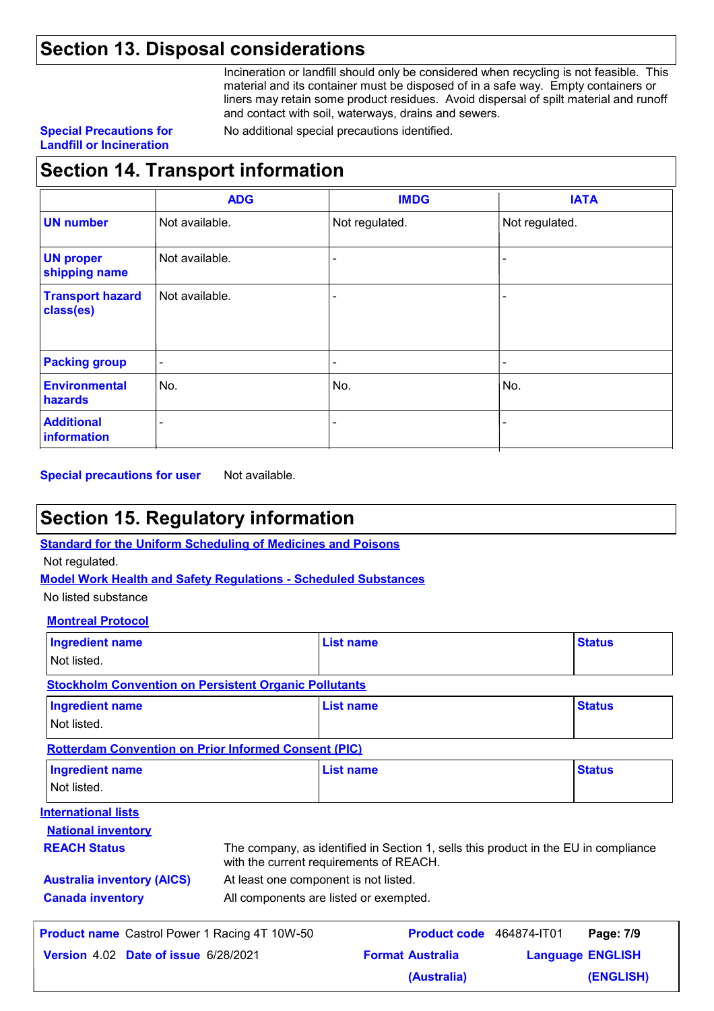### **Section 13. Disposal considerations**

Incineration or landfill should only be considered when recycling is not feasible. This material and its container must be disposed of in a safe way. Empty containers or liners may retain some product residues. Avoid dispersal of spilt material and runoff and contact with soil, waterways, drains and sewers.

#### **Special Precautions for Landfill or Incineration**

No additional special precautions identified.

## **Section 14. Transport information**

|                                      | <b>ADG</b>     | <b>IMDG</b>     | <b>IATA</b>              |
|--------------------------------------|----------------|-----------------|--------------------------|
| <b>UN number</b>                     | Not available. | Not regulated.  | Not regulated.           |
| <b>UN proper</b><br>shipping name    | Not available. |                 |                          |
| <b>Transport hazard</b><br>class(es) | Not available. |                 | $\overline{\phantom{0}}$ |
| <b>Packing group</b>                 | $\blacksquare$ | $\qquad \qquad$ | $\qquad \qquad$          |
| <b>Environmental</b><br>hazards      | No.            | No.             | No.                      |
| <b>Additional</b><br>information     | -              |                 |                          |

**Special precautions for user** Not available.

### **Section 15. Regulatory information**

**Standard for the Uniform Scheduling of Medicines and Poisons**

Not regulated.

**Model Work Health and Safety Regulations - Scheduled Substances**

No listed substance

#### **Montreal Protocol**

| <b>Ingredient name</b><br>Not listed.                        | <b>List name</b>                                                                                                               | <b>Status</b>           |
|--------------------------------------------------------------|--------------------------------------------------------------------------------------------------------------------------------|-------------------------|
| <b>Stockholm Convention on Persistent Organic Pollutants</b> |                                                                                                                                |                         |
| <b>Ingredient name</b>                                       | List name                                                                                                                      | <b>Status</b>           |
| Not listed.                                                  |                                                                                                                                |                         |
| <b>Rotterdam Convention on Prior Informed Consent (PIC)</b>  |                                                                                                                                |                         |
| <b>Ingredient name</b>                                       | List name                                                                                                                      | <b>Status</b>           |
| Not listed.                                                  |                                                                                                                                |                         |
| <b>International lists</b>                                   |                                                                                                                                |                         |
| <b>National inventory</b>                                    |                                                                                                                                |                         |
| <b>REACH Status</b>                                          | The company, as identified in Section 1, sells this product in the EU in compliance<br>with the current requirements of REACH. |                         |
| <b>Australia inventory (AICS)</b>                            | At least one component is not listed.                                                                                          |                         |
| <b>Canada inventory</b>                                      | All components are listed or exempted.                                                                                         |                         |
| <b>Product name</b> Castrol Power 1 Racing 4T 10W-50         | <b>Product code</b> 464874-IT01                                                                                                | Page: 7/9               |
| Version 4.02 Date of issue 6/28/2021                         | <b>Format Australia</b>                                                                                                        | <b>Language ENGLISH</b> |
|                                                              | (Australia)                                                                                                                    | (ENGLISH)               |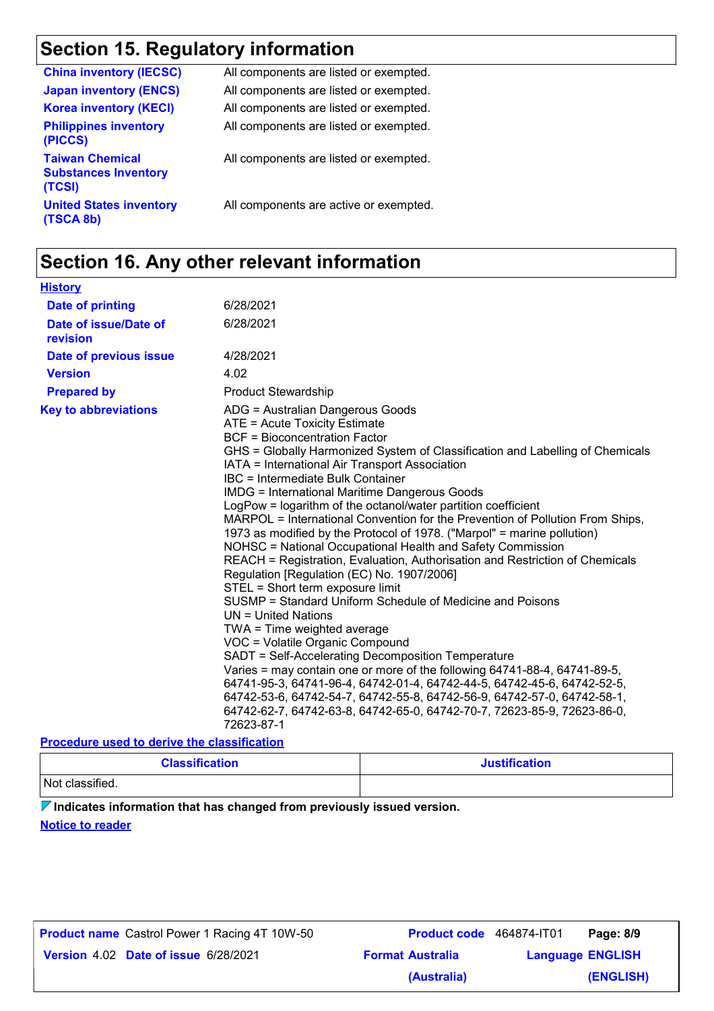## **Section 15. Regulatory information**

| <b>China inventory (IECSC)</b>                                  | All components are listed or exempted. |
|-----------------------------------------------------------------|----------------------------------------|
| <b>Japan inventory (ENCS)</b>                                   | All components are listed or exempted. |
| <b>Korea inventory (KECI)</b>                                   | All components are listed or exempted. |
| <b>Philippines inventory</b><br>(PICCS)                         | All components are listed or exempted. |
| <b>Taiwan Chemical</b><br><b>Substances Inventory</b><br>(TCSI) | All components are listed or exempted. |
| <b>United States inventory</b><br>(TSCA 8b)                     | All components are active or exempted. |

## **Section 16. Any other relevant information**

| <b>History</b>                                                                                            |                                                                                                                                                                                                                                                                                                                                                                                                                                                                                                                                                                                                                                                                                                                                                                                                                                                                                                                                                                                                                                                                                                                                                                                                                                                                                                                                                  |
|-----------------------------------------------------------------------------------------------------------|--------------------------------------------------------------------------------------------------------------------------------------------------------------------------------------------------------------------------------------------------------------------------------------------------------------------------------------------------------------------------------------------------------------------------------------------------------------------------------------------------------------------------------------------------------------------------------------------------------------------------------------------------------------------------------------------------------------------------------------------------------------------------------------------------------------------------------------------------------------------------------------------------------------------------------------------------------------------------------------------------------------------------------------------------------------------------------------------------------------------------------------------------------------------------------------------------------------------------------------------------------------------------------------------------------------------------------------------------|
| <b>Date of printing</b>                                                                                   | 6/28/2021                                                                                                                                                                                                                                                                                                                                                                                                                                                                                                                                                                                                                                                                                                                                                                                                                                                                                                                                                                                                                                                                                                                                                                                                                                                                                                                                        |
| Date of issue/Date of<br>revision                                                                         | 6/28/2021                                                                                                                                                                                                                                                                                                                                                                                                                                                                                                                                                                                                                                                                                                                                                                                                                                                                                                                                                                                                                                                                                                                                                                                                                                                                                                                                        |
| Date of previous issue                                                                                    | 4/28/2021                                                                                                                                                                                                                                                                                                                                                                                                                                                                                                                                                                                                                                                                                                                                                                                                                                                                                                                                                                                                                                                                                                                                                                                                                                                                                                                                        |
| <b>Version</b>                                                                                            | 4.02                                                                                                                                                                                                                                                                                                                                                                                                                                                                                                                                                                                                                                                                                                                                                                                                                                                                                                                                                                                                                                                                                                                                                                                                                                                                                                                                             |
| <b>Prepared by</b>                                                                                        | <b>Product Stewardship</b>                                                                                                                                                                                                                                                                                                                                                                                                                                                                                                                                                                                                                                                                                                                                                                                                                                                                                                                                                                                                                                                                                                                                                                                                                                                                                                                       |
| <b>Key to abbreviations</b><br>the contract of a state of the contract of the contract of the contract of | ADG = Australian Dangerous Goods<br>ATE = Acute Toxicity Estimate<br><b>BCF</b> = Bioconcentration Factor<br>GHS = Globally Harmonized System of Classification and Labelling of Chemicals<br>IATA = International Air Transport Association<br>IBC = Intermediate Bulk Container<br><b>IMDG = International Maritime Dangerous Goods</b><br>LogPow = logarithm of the octanol/water partition coefficient<br>MARPOL = International Convention for the Prevention of Pollution From Ships,<br>1973 as modified by the Protocol of 1978. ("Marpol" = marine pollution)<br>NOHSC = National Occupational Health and Safety Commission<br>REACH = Registration, Evaluation, Authorisation and Restriction of Chemicals<br>Regulation [Regulation (EC) No. 1907/2006]<br>STEL = Short term exposure limit<br>SUSMP = Standard Uniform Schedule of Medicine and Poisons<br>$UN = United Nations$<br>TWA = Time weighted average<br>VOC = Volatile Organic Compound<br>SADT = Self-Accelerating Decomposition Temperature<br>Varies = may contain one or more of the following 64741-88-4, 64741-89-5,<br>64741-95-3, 64741-96-4, 64742-01-4, 64742-44-5, 64742-45-6, 64742-52-5,<br>64742-53-6, 64742-54-7, 64742-55-8, 64742-56-9, 64742-57-0, 64742-58-1,<br>64742-62-7, 64742-63-8, 64742-65-0, 64742-70-7, 72623-85-9, 72623-86-0,<br>72623-87-1 |

#### **Procedure used to derive the classification**

| <b>Classification</b> | <b>Justification</b> |
|-----------------------|----------------------|
| Not classified.       |                      |

**Indicates information that has changed from previously issued version.**

#### **Notice to reader**

| <b>Product name</b> Castrol Power 1 Racing 4T 10W-50 |
|------------------------------------------------------|
|                                                      |